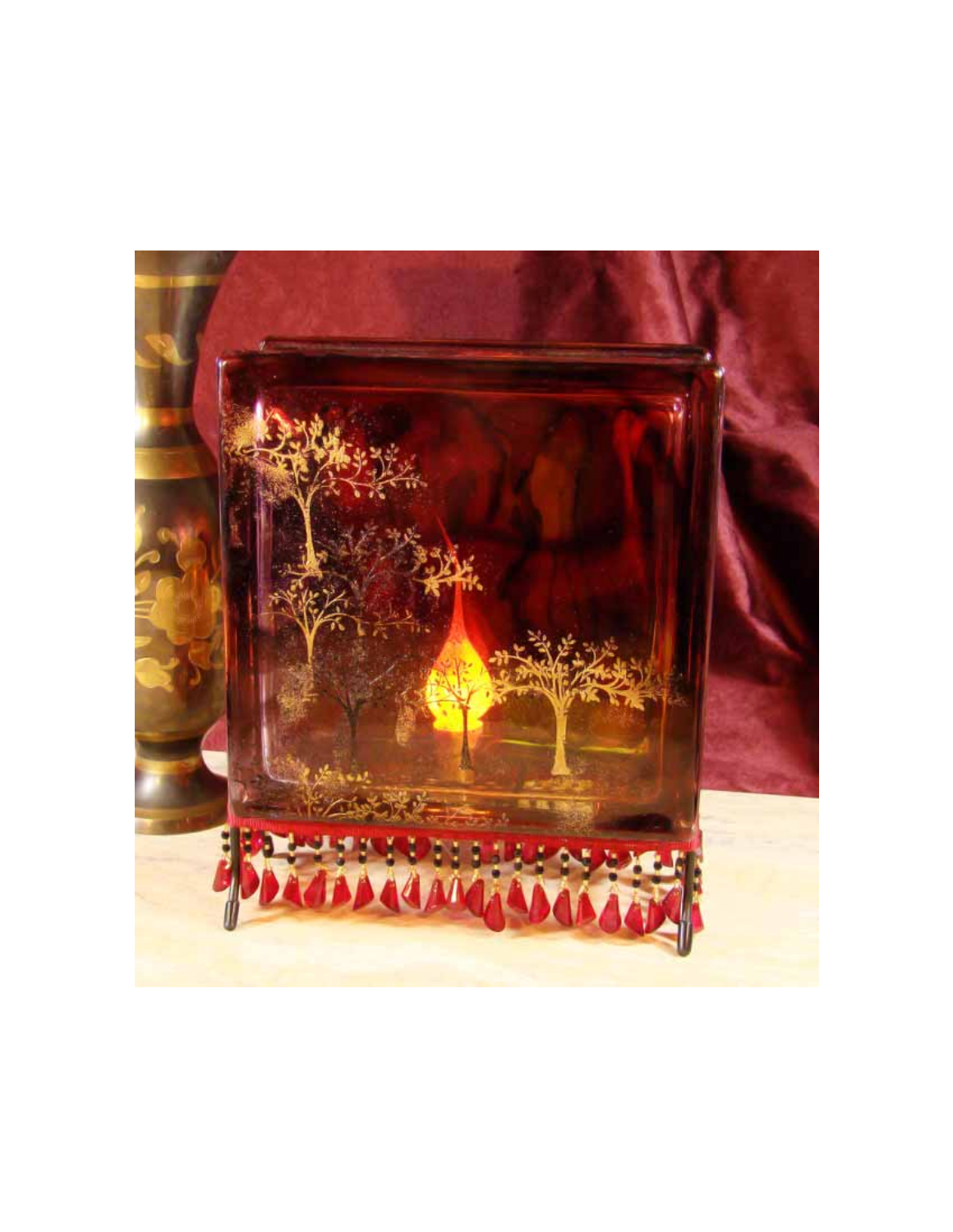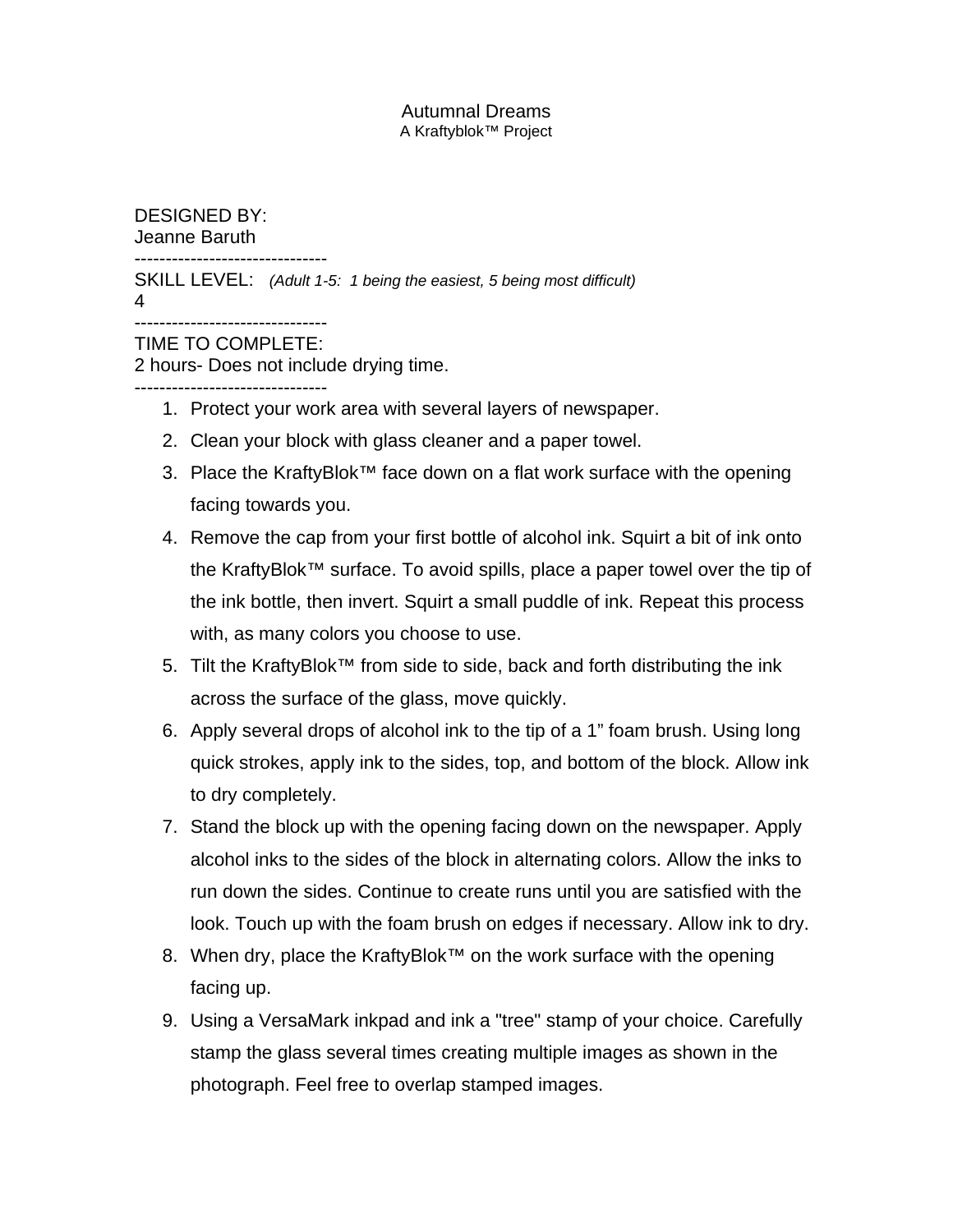## Autumnal Dreams A Kraftyblok™ Project

## DESIGNED BY:

Jeanne Baruth

-------------------------------

SKILL LEVEL: *(Adult 1-5: 1 being the easiest, 5 being most difficult)* 4

------------------------------- TIME TO COMPLETE:

2 hours- Does not include drying time.

-------------------------------

- 1. Protect your work area with several layers of newspaper.
- 2. Clean your block with glass cleaner and a paper towel.
- 3. Place the KraftyBlok™ face down on a flat work surface with the opening facing towards you.
- 4. Remove the cap from your first bottle of alcohol ink. Squirt a bit of ink onto the KraftyBlok™ surface. To avoid spills, place a paper towel over the tip of the ink bottle, then invert. Squirt a small puddle of ink. Repeat this process with, as many colors you choose to use.
- 5. Tilt the KraftyBlok™ from side to side, back and forth distributing the ink across the surface of the glass, move quickly.
- 6. Apply several drops of alcohol ink to the tip of a 1" foam brush. Using long quick strokes, apply ink to the sides, top, and bottom of the block. Allow ink to dry completely.
- 7. Stand the block up with the opening facing down on the newspaper. Apply alcohol inks to the sides of the block in alternating colors. Allow the inks to run down the sides. Continue to create runs until you are satisfied with the look. Touch up with the foam brush on edges if necessary. Allow ink to dry.
- 8. When dry, place the KraftyBlok™ on the work surface with the opening facing up.
- 9. Using a VersaMark inkpad and ink a "tree" stamp of your choice. Carefully stamp the glass several times creating multiple images as shown in the photograph. Feel free to overlap stamped images.